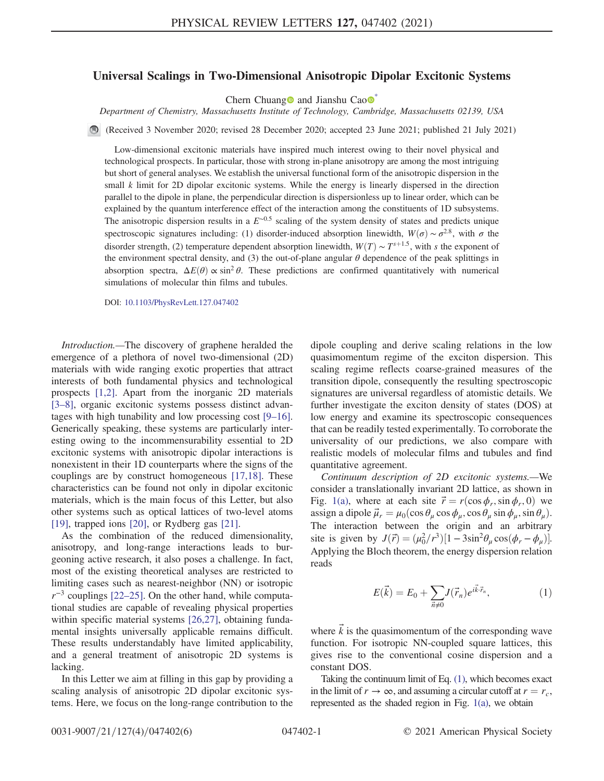## <span id="page-0-2"></span>Universal Scalings in Two-Dimensional Anisotropic Dipolar Excitonic Systems

Chern Chuang and Jianshu Cao  $\bullet$ 

Department of Chemistry, Massachusetts Institute of Technology, Cambridge, Massachusetts 02139, USA

(Received 3 November 2020; revised 28 December 2020; accepted 23 June 2021; published 21 July 2021)

Low-dimensional excitonic materials have inspired much interest owing to their novel physical and technological prospects. In particular, those with strong in-plane anisotropy are among the most intriguing but short of general analyses. We establish the universal functional form of the anisotropic dispersion in the small  $k$  limit for 2D dipolar excitonic systems. While the energy is linearly dispersed in the direction parallel to the dipole in plane, the perpendicular direction is dispersionless up to linear order, which can be explained by the quantum interference effect of the interaction among the constituents of 1D subsystems. The anisotropic dispersion results in a  $E^{\sim 0.5}$  scaling of the system density of states and predicts unique spectroscopic signatures including: (1) disorder-induced absorption linewidth,  $W(\sigma) \sim \sigma^{2.8}$ , with  $\sigma$  the disorder strength, (2) temperature dependent absorption linewidth,  $W(T) \sim T^{s+1.5}$ , with s the exponent of the environment spectral density, and (3) the out-of-plane angular  $\theta$  dependence of the peak splittings in absorption spectra,  $\Delta E(\theta) \propto \sin^2 \theta$ . These predictions are confirmed quantitatively with numerical simulations of molecular thin films and tubules.

DOI: [10.1103/PhysRevLett.127.047402](https://doi.org/10.1103/PhysRevLett.127.047402)

Introduction.—The discovery of graphene heralded the emergence of a plethora of novel two-dimensional (2D) materials with wide ranging exotic properties that attract interests of both fundamental physics and technological prospects [\[1,2\]](#page-4-1). Apart from the inorganic 2D materials [\[3](#page-4-2)–8], organic excitonic systems possess distinct advantages with high tunability and low processing cost [9–[16\]](#page-4-3). Generically speaking, these systems are particularly interesting owing to the incommensurability essential to 2D excitonic systems with anisotropic dipolar interactions is nonexistent in their 1D counterparts where the signs of the couplings are by construct homogeneous [\[17,18\].](#page-4-4) These characteristics can be found not only in dipolar excitonic materials, which is the main focus of this Letter, but also other systems such as optical lattices of two-level atoms [\[19\]](#page-4-5), trapped ions [\[20\],](#page-4-6) or Rydberg gas [\[21\]](#page-4-7).

As the combination of the reduced dimensionality, anisotropy, and long-range interactions leads to burgeoning active research, it also poses a challenge. In fact, most of the existing theoretical analyses are restricted to limiting cases such as nearest-neighbor (NN) or isotropic  $r^{-3}$  couplings [\[22](#page-4-8)–25]. On the other hand, while computational studies are capable of revealing physical properties within specific material systems [\[26,27\]](#page-4-9), obtaining fundamental insights universally applicable remains difficult. These results understandably have limited applicability, and a general treatment of anisotropic 2D systems is lacking.

In this Letter we aim at filling in this gap by providing a scaling analysis of anisotropic 2D dipolar excitonic systems. Here, we focus on the long-range contribution to the dipole coupling and derive scaling relations in the low quasimomentum regime of the exciton dispersion. This scaling regime reflects coarse-grained measures of the transition dipole, consequently the resulting spectroscopic signatures are universal regardless of atomistic details. We further investigate the exciton density of states (DOS) at low energy and examine its spectroscopic consequences that can be readily tested experimentally. To corroborate the universality of our predictions, we also compare with realistic models of molecular films and tubules and find quantitative agreement.

Continuum description of 2D excitonic systems.—We consider a translationally invariant 2D lattice, as shown in Fig. [1\(a\)](#page-1-0), where at each site  $\vec{r} = r(\cos \phi_r, \sin \phi_r, 0)$  we assign a dipole  $\vec{\mu}_r = \mu_0(\cos \theta_\mu \cos \phi_\mu, \cos \theta_\mu \sin \phi_\mu, \sin \theta_\mu)$ . The interaction between the origin and an arbitrary site is given by  $J(\vec{r}) = (\mu_0^2/r^3)[1 - 3\sin^2\theta_\mu \cos(\phi_r - \phi_\mu)].$ Applying the Bloch theorem, the energy dispersion relation reads

<span id="page-0-0"></span>
$$
E(\vec{k}) = E_0 + \sum_{\vec{n}\neq 0} J(\vec{r}_n) e^{i\vec{k}\cdot\vec{r}_n},\tag{1}
$$

where  $\vec{k}$  is the quasimomentum of the corresponding wave function. For isotropic NN-coupled square lattices, this gives rise to the conventional cosine dispersion and a constant DOS.

<span id="page-0-1"></span>Taking the continuum limit of Eq. [\(1\)](#page-0-0), which becomes exact in the limit of  $r \to \infty$ , and assuming a circular cutoff at  $r = r_c$ , represented as the shaded region in Fig. [1\(a\)](#page-1-0), we obtain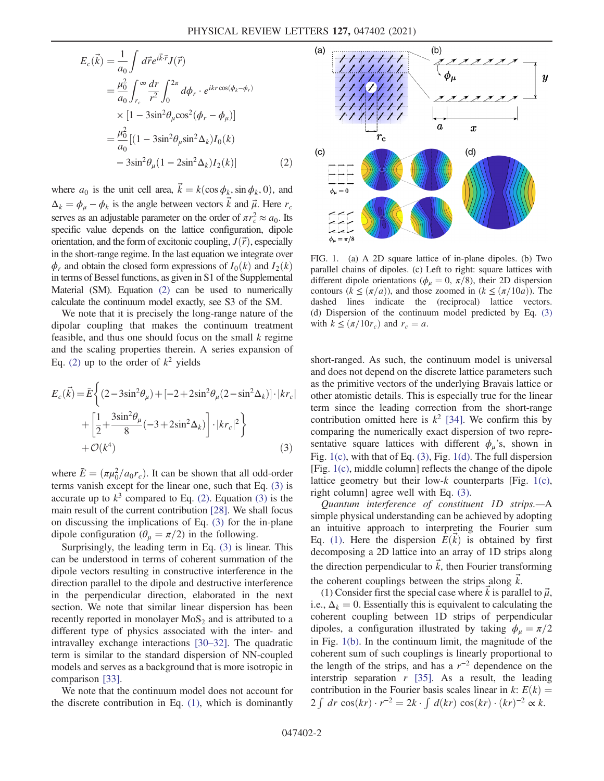$$
E_c(\vec{k}) = \frac{1}{a_0} \int d\vec{r} e^{i\vec{k}\cdot\vec{r}} J(\vec{r})
$$
  
\n
$$
= \frac{\mu_0^2}{a_0} \int_{r_c}^{\infty} \frac{dr}{r^2} \int_0^{2\pi} d\phi_r \cdot e^{ikr\cos(\phi_k - \phi_r)}
$$
  
\n
$$
\times [1 - 3\sin^2\theta_\mu \cos^2(\phi_r - \phi_\mu)]
$$
  
\n
$$
= \frac{\mu_0^2}{a_0} [(1 - 3\sin^2\theta_\mu \sin^2\Delta_k) I_0(k)
$$
  
\n
$$
- 3\sin^2\theta_\mu (1 - 2\sin^2\Delta_k) I_2(k)]
$$
 (2)

where  $a_0$  is the unit cell area,  $\vec{k} = k(\cos \phi_k, \sin \phi_k, 0)$ , and  $\Delta_k = \phi_\mu - \phi_k$  is the angle between vectors k and  $\vec{\mu}$ . Here  $r_c$ serves as an adjustable parameter on the order of  $\pi r_c^2 \approx a_0$ . Its specific value depends on the lattice configuration, dipole orientation, and the form of excitonic coupling,  $J(\vec{r})$ , especially in the short-range regime. In the last equation we integrate over  $\phi_r$  and obtain the closed form expressions of  $I_0(k)$  and  $I_2(k)$ in terms of Bessel functions, as given in S1 of the Supplemental Material (SM). Equation [\(2\)](#page-0-1) can be used to numerically calculate the continuum model exactly, see S3 of the SM.

We note that it is precisely the long-range nature of the dipolar coupling that makes the continuum treatment feasible, and thus one should focus on the small  $k$  regime and the scaling properties therein. A series expansion of Eq. [\(2\)](#page-0-1) up to the order of  $k^2$  yields

<span id="page-1-1"></span>
$$
E_c(\vec{k}) = \bar{E}\left\{ (2 - 3\sin^2\theta_\mu) + [-2 + 2\sin^2\theta_\mu(2 - \sin^2\Delta_k)] \cdot |kr_c| + \left[\frac{1}{2} + \frac{3\sin^2\theta_\mu}{8}(-3 + 2\sin^2\Delta_k)\right] \cdot |kr_c|^2 \right\} + \mathcal{O}(k^4)
$$
\n(3)

where  $\bar{E} = (\pi \mu_0^2 / a_0 r_c)$ . It can be shown that all odd-order terms vanish except for the linear one, such that Eq. [\(3\)](#page-1-1) is accurate up to  $k^3$  compared to Eq. [\(2\)](#page-0-1). Equation [\(3\)](#page-1-1) is the main result of the current contribution [\[28\].](#page-4-10) We shall focus on discussing the implications of Eq. [\(3\)](#page-1-1) for the in-plane dipole configuration ( $\theta_{\mu} = \pi/2$ ) in the following.

Surprisingly, the leading term in Eq. [\(3\)](#page-1-1) is linear. This can be understood in terms of coherent summation of the dipole vectors resulting in constructive interference in the direction parallel to the dipole and destructive interference in the perpendicular direction, elaborated in the next section. We note that similar linear dispersion has been recently reported in monolayer  $MoS<sub>2</sub>$  and is attributed to a different type of physics associated with the inter- and intravalley exchange interactions [\[30](#page-5-0)–32]. The quadratic term is similar to the standard dispersion of NN-coupled models and serves as a background that is more isotropic in comparison [\[33\]](#page-5-1).

We note that the continuum model does not account for the discrete contribution in Eq. [\(1\)](#page-0-0), which is dominantly

<span id="page-1-0"></span>

FIG. 1. (a) A 2D square lattice of in-plane dipoles. (b) Two parallel chains of dipoles. (c) Left to right: square lattices with different dipole orientations ( $\phi_{\mu} = 0$ ,  $\pi/8$ ), their 2D dispersion contours  $(k \leq (\pi/a))$ , and those zoomed in  $(k \leq (\pi/10a))$ . The dashed lines indicate the (reciprocal) lattice vectors. (d) Dispersion of the continuum model predicted by Eq. [\(3\)](#page-1-1) with  $k \leq (\pi/10r_c)$  and  $r_c = a$ .

short-ranged. As such, the continuum model is universal and does not depend on the discrete lattice parameters such as the primitive vectors of the underlying Bravais lattice or other atomistic details. This is especially true for the linear term since the leading correction from the short-range contribution omitted here is  $k^2$  [\[34\]](#page-5-2). We confirm this by comparing the numerically exact dispersion of two representative square lattices with different  $\phi_u$ 's, shown in Fig. [1\(c\),](#page-1-0) with that of Eq. [\(3\)](#page-1-1), Fig. [1\(d\).](#page-1-0) The full dispersion [Fig. [1\(c\)](#page-1-0), middle column] reflects the change of the dipole lattice geometry but their low- $k$  counterparts [Fig. [1\(c\)](#page-1-0), right column] agree well with Eq. [\(3\).](#page-1-1)

Quantum interference of constituent 1D strips.—A simple physical understanding can be achieved by adopting an intuitive approach to interpreting the Fourier sum Eq. [\(1\).](#page-0-0) Here the dispersion  $E(\vec{k})$  is obtained by first decomposing a 2D lattice into an array of 1D strips along the direction perpendicular to  $\vec{k}$ , then Fourier transforming the coherent couplings between the strips along  $\vec{k}$ .

(1) Consider first the special case where  $\vec{k}$  is parallel to  $\vec{\mu}$ , i.e.,  $\Delta_k = 0$ . Essentially this is equivalent to calculating the coherent coupling between 1D strips of perpendicular dipoles, a configuration illustrated by taking  $\phi_{\mu} = \pi/2$ in Fig. [1\(b\).](#page-1-0) In the continuum limit, the magnitude of the coherent sum of such couplings is linearly proportional to the length of the strips, and has a  $r^{-2}$  dependence on the interstrip separation  $r$  [\[35\].](#page-5-3) As a result, the leading contribution in the Fourier basis scales linear in k:  $E(k) =$ 2 ∫ dr cos $(kr) \cdot r^{-2} = 2k \cdot \int d(kr) \cos(kr) \cdot (kr)^{-2} \propto k.$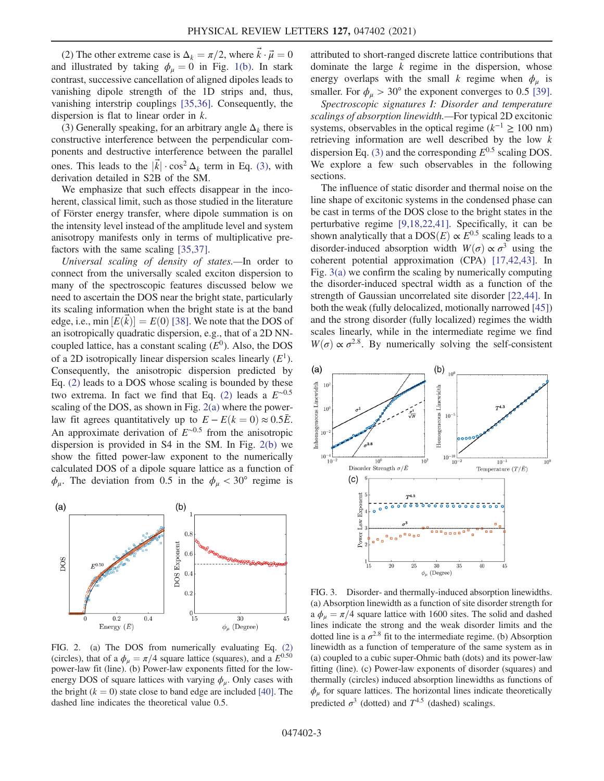(2) The other extreme case is  $\Delta_k = \pi/2$ , where  $\vec{k} \cdot \vec{\mu} = 0$ and illustrated by taking  $\phi_{\mu} = 0$  in Fig. [1\(b\).](#page-1-0) In stark contrast, successive cancellation of aligned dipoles leads to vanishing dipole strength of the 1D strips and, thus, vanishing interstrip couplings [\[35,36\].](#page-5-3) Consequently, the dispersion is flat to linear order in k.

(3) Generally speaking, for an arbitrary angle  $\Delta_k$  there is constructive interference between the perpendicular components and destructive interference between the parallel ones. This leads to the  $|\vec{k}| \cdot \cos^2 \Delta_k$  term in Eq. [\(3\)](#page-1-1), with derivation detailed in S2B of the SM.

We emphasize that such effects disappear in the incoherent, classical limit, such as those studied in the literature of Förster energy transfer, where dipole summation is on the intensity level instead of the amplitude level and system anisotropy manifests only in terms of multiplicative prefactors with the same scaling [\[35,37\].](#page-5-3)

Universal scaling of density of states.—In order to connect from the universally scaled exciton dispersion to many of the spectroscopic features discussed below we need to ascertain the DOS near the bright state, particularly its scaling information when the bright state is at the band edge, i.e.,  $\min [E(\vec{k})] = E(0)$  [\[38\]](#page-5-4). We note that the DOS of an isotropically quadratic dispersion, e.g., that of a 2D NNcoupled lattice, has a constant scaling  $(E^0)$ . Also, the DOS of a 2D isotropically linear dispersion scales linearly  $(E^1)$ . Consequently, the anisotropic dispersion predicted by Eq. [\(2\)](#page-0-1) leads to a DOS whose scaling is bounded by these two extrema. In fact we find that Eq. [\(2\)](#page-0-1) leads a  $E^{\sim 0.5}$ scaling of the DOS, as shown in Fig.  $2(a)$  where the powerlaw fit agrees quantitatively up to  $E - E(k = 0) \approx 0.5\overline{E}$ . An approximate derivation of  $E^{\sim 0.5}$  from the anisotropic dispersion is provided in S4 in the SM. In Fig. [2\(b\)](#page-2-0) we show the fitted power-law exponent to the numerically calculated DOS of a dipole square lattice as a function of  $\phi_{\mu}$ . The deviation from 0.5 in the  $\phi_{\mu} < 30^{\circ}$  regime is

<span id="page-2-0"></span>

FIG. 2. (a) The DOS from numerically evaluating Eq. [\(2\)](#page-0-1) (circles), that of a  $\phi_{\mu} = \pi/4$  square lattice (squares), and a  $E^{0.50}$ power-law fit (line). (b) Power-law exponents fitted for the lowenergy DOS of square lattices with varying  $\phi_{\mu}$ . Only cases with the bright  $(k = 0)$  state close to band edge are included [\[40\].](#page-5-7) The dashed line indicates the theoretical value 0.5.

attributed to short-ranged discrete lattice contributions that dominate the large  $k$  regime in the dispersion, whose energy overlaps with the small k regime when  $\phi_{\mu}$  is smaller. For  $\phi_u > 30^\circ$  the exponent converges to 0.5 [\[39\]](#page-5-5).

Spectroscopic signatures I: Disorder and temperature scalings of absorption linewidth.—For typical 2D excitonic systems, observables in the optical regime ( $k^{-1} \ge 100$  nm) retrieving information are well described by the low k dispersion Eq. [\(3\)](#page-1-1) and the corresponding  $E^{0.5}$  scaling DOS. We explore a few such observables in the following sections.

The influence of static disorder and thermal noise on the line shape of excitonic systems in the condensed phase can be cast in terms of the DOS close to the bright states in the perturbative regime [\[9,18,22,41\]](#page-4-3). Specifically, it can be shown analytically that a DOS $(E) \propto E^{0.5}$  scaling leads to a disorder-induced absorption width  $W(\sigma) \propto \sigma^3$  using the coherent potential approximation (CPA) [\[17,42,43\]](#page-4-4). In Fig. [3\(a\)](#page-2-1) we confirm the scaling by numerically computing the disorder-induced spectral width as a function of the strength of Gaussian uncorrelated site disorder [\[22,44\]](#page-4-8). In both the weak (fully delocalized, motionally narrowed [\[45\]\)](#page-5-6) and the strong disorder (fully localized) regimes the width scales linearly, while in the intermediate regime we find  $W(\sigma) \propto \sigma^{2.8}$ . By numerically solving the self-consistent

<span id="page-2-1"></span>

FIG. 3. Disorder- and thermally-induced absorption linewidths. (a) Absorption linewidth as a function of site disorder strength for a  $\phi_{\mu} = \pi/4$  square lattice with 1600 sites. The solid and dashed lines indicate the strong and the weak disorder limits and the dotted line is a  $\sigma^{2.8}$  fit to the intermediate regime. (b) Absorption linewidth as a function of temperature of the same system as in (a) coupled to a cubic super-Ohmic bath (dots) and its power-law fitting (line). (c) Power-law exponents of disorder (squares) and thermally (circles) induced absorption linewidths as functions of  $\phi_{\mu}$  for square lattices. The horizontal lines indicate theoretically predicted  $\sigma^3$  (dotted) and  $T^{4.5}$  (dashed) scalings.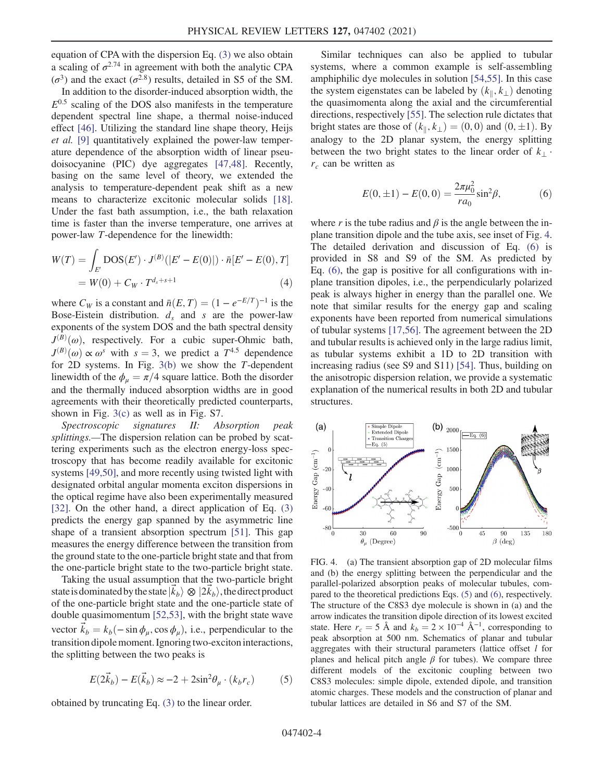equation of CPA with the dispersion Eq. [\(3\)](#page-1-1) we also obtain a scaling of  $\sigma^{2.74}$  in agreement with both the analytic CPA ( $\sigma^3$ ) and the exact ( $\sigma^{2.8}$ ) results, detailed in S5 of the SM.

In addition to the disorder-induced absorption width, the  $E^{0.5}$  scaling of the DOS also manifests in the temperature dependent spectral line shape, a thermal noise-induced effect [\[46\].](#page-5-8) Utilizing the standard line shape theory, Heijs et al. [\[9\]](#page-4-3) quantitatively explained the power-law temperature dependence of the absorption width of linear pseudoisocyanine (PIC) dye aggregates [\[47,48\]](#page-5-9). Recently, basing on the same level of theory, we extended the analysis to temperature-dependent peak shift as a new means to characterize excitonic molecular solids [\[18\]](#page-4-11). Under the fast bath assumption, i.e., the bath relaxation time is faster than the inverse temperature, one arrives at power-law T-dependence for the linewidth:

$$
W(T) = \int_{E'} \text{DOS}(E') \cdot J^{(B)}(|E' - E(0)|) \cdot \bar{n}[E' - E(0), T]
$$
  
= W(0) + C<sub>W</sub> \cdot T<sup>d<sub>s</sub>+s+1</sup> (4)

where  $C_W$  is a constant and  $\bar{n}(E, T) = (1 - e^{-E/T})^{-1}$  is the Bose-Eistein distribution.  $d_s$  and s are the power-law exponents of the system DOS and the bath spectral density  $J^{(B)}(\omega)$ , respectively. For a cubic super-Ohmic bath,  $J^{(B)}(\omega) \propto \omega^s$  with  $s = 3$ , we predict a  $T^{4.5}$  dependence for 2D systems. In Fig.  $3(b)$  we show the T-dependent linewidth of the  $\phi_{\mu} = \pi/4$  square lattice. Both the disorder and the thermally induced absorption widths are in good agreements with their theoretically predicted counterparts, shown in Fig. [3\(c\)](#page-2-1) as well as in Fig. S7.

Spectroscopic signatures II: Absorption peak splittings.—The dispersion relation can be probed by scattering experiments such as the electron energy-loss spectroscopy that has become readily available for excitonic systems [\[49,50\],](#page-5-10) and more recently using twisted light with designated orbital angular momenta exciton dispersions in the optical regime have also been experimentally measured [\[32\]](#page-5-11). On the other hand, a direct application of Eq. [\(3\)](#page-1-1) predicts the energy gap spanned by the asymmetric line shape of a transient absorption spectrum [\[51\].](#page-5-12) This gap measures the energy difference between the transition from the ground state to the one-particle bright state and that from the one-particle bright state to the two-particle bright state.

Taking the usual assumption that the two-particle bright state is dominated by the state  $|\vec{k}_b\rangle \otimes |2\vec{k}_b\rangle$ , the direct product of the one-particle bright state and the one-particle state of double quasimomentum [\[52,53\]](#page-5-13), with the bright state wave vector  $\vec{k}_b = k_b(-\sin \phi_\mu, \cos \phi_\mu)$ , i.e., perpendicular to the transition dipole moment. Ignoring two-exciton interactions, the splitting between the two peaks is

<span id="page-3-2"></span>
$$
E(2\vec{k}_b) - E(\vec{k}_b) \approx -2 + 2\sin^2\theta_\mu \cdot (k_b r_c) \tag{5}
$$

obtained by truncating Eq. [\(3\)](#page-1-1) to the linear order.

Similar techniques can also be applied to tubular systems, where a common example is self-assembling amphiphilic dye molecules in solution [\[54,55\].](#page-5-14) In this case the system eigenstates can be labeled by  $(k_{\parallel}, k_{\perp})$  denoting the quasimomenta along the axial and the circumferential directions, respectively [\[55\].](#page-5-15) The selection rule dictates that bright states are those of  $(k_{\parallel}, k_{\perp}) = (0,0)$  and  $(0, \pm 1)$ . By analogy to the 2D planar system, the energy splitting between the two bright states to the linear order of  $k_{\perp}$ .  $r_c$  can be written as

<span id="page-3-1"></span>
$$
E(0, \pm 1) - E(0, 0) = \frac{2\pi\mu_0^2}{r a_0} \sin^2\beta,
$$
 (6)

where r is the tube radius and  $\beta$  is the angle between the inplane transition dipole and the tube axis, see inset of Fig. [4](#page-3-0). The detailed derivation and discussion of Eq. [\(6\)](#page-3-1) is provided in S8 and S9 of the SM. As predicted by Eq. [\(6\),](#page-3-1) the gap is positive for all configurations with inplane transition dipoles, i.e., the perpendicularly polarized peak is always higher in energy than the parallel one. We note that similar results for the energy gap and scaling exponents have been reported from numerical simulations of tubular systems [\[17,56\]](#page-4-4). The agreement between the 2D and tubular results is achieved only in the large radius limit, as tubular systems exhibit a 1D to 2D transition with increasing radius (see S9 and S11) [\[54\]](#page-5-14). Thus, building on the anisotropic dispersion relation, we provide a systematic explanation of the numerical results in both 2D and tubular structures.

<span id="page-3-0"></span>

FIG. 4. (a) The transient absorption gap of 2D molecular films and (b) the energy splitting between the perpendicular and the parallel-polarized absorption peaks of molecular tubules, compared to the theoretical predictions Eqs. [\(5\)](#page-3-2) and [\(6\)](#page-3-1), respectively. The structure of the C8S3 dye molecule is shown in (a) and the arrow indicates the transition dipole direction of its lowest excited state. Here  $r_c = 5$  Å and  $k_b = 2 \times 10^{-4}$  Å<sup>-1</sup>, corresponding to peak absorption at 500 nm. Schematics of planar and tubular aggregates with their structural parameters (lattice offset  $l$  for planes and helical pitch angle  $\beta$  for tubes). We compare three different models of the excitonic coupling between two C8S3 molecules: simple dipole, extended dipole, and transition atomic charges. These models and the construction of planar and tubular lattices are detailed in S6 and S7 of the SM.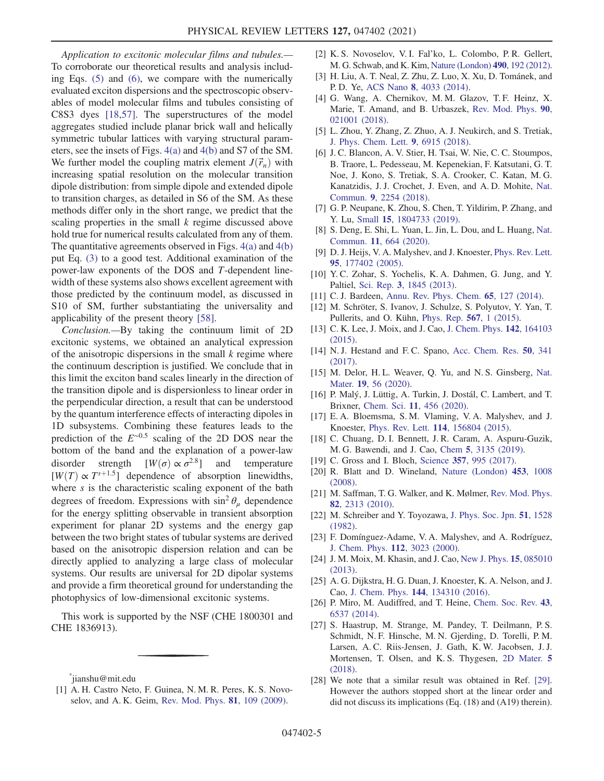Application to excitonic molecular films and tubules.— To corroborate our theoretical results and analysis including Eqs. [\(5\)](#page-3-2) and [\(6\)](#page-3-1), we compare with the numerically evaluated exciton dispersions and the spectroscopic observables of model molecular films and tubules consisting of C8S3 dyes [\[18,57\]](#page-4-11). The superstructures of the model aggregates studied include planar brick wall and helically symmetric tubular lattices with varying structural parameters, see the insets of Figs. [4\(a\)](#page-3-0) and [4\(b\)](#page-3-0) and S7 of the SM. We further model the coupling matrix element  $J(\vec{r}_n)$  with increasing spatial resolution on the molecular transition dipole distribution: from simple dipole and extended dipole to transition charges, as detailed in S6 of the SM. As these methods differ only in the short range, we predict that the scaling properties in the small  $k$  regime discussed above hold true for numerical results calculated from any of them. The quantitative agreements observed in Figs.  $4(a)$  and  $4(b)$ put Eq. [\(3\)](#page-1-1) to a good test. Additional examination of the power-law exponents of the DOS and T-dependent linewidth of these systems also shows excellent agreement with those predicted by the continuum model, as discussed in S10 of SM, further substantiating the universality and applicability of the present theory [\[58\]](#page-5-16).

Conclusion.—By taking the continuum limit of 2D excitonic systems, we obtained an analytical expression of the anisotropic dispersions in the small  $k$  regime where the continuum description is justified. We conclude that in this limit the exciton band scales linearly in the direction of the transition dipole and is dispersionless to linear order in the perpendicular direction, a result that can be understood by the quantum interference effects of interacting dipoles in 1D subsystems. Combining these features leads to the prediction of the  $E^{\sim 0.5}$  scaling of the 2D DOS near the bottom of the band and the explanation of a power-law disorder strength  $[W(\sigma) \propto \sigma^{2.8}]$  and temperature  $[W(T) \propto T^{s+1.5}]$  dependence of absorption linewidths, where  $s$  is the characteristic scaling exponent of the bath degrees of freedom. Expressions with  $\sin^2 \theta_u$  dependence for the energy splitting observable in transient absorption experiment for planar 2D systems and the energy gap between the two bright states of tubular systems are derived based on the anisotropic dispersion relation and can be directly applied to analyzing a large class of molecular systems. Our results are universal for 2D dipolar systems and provide a firm theoretical ground for understanding the photophysics of low-dimensional excitonic systems.

This work is supported by the NSF (CHE 1800301 and CHE 1836913).

<span id="page-4-1"></span><span id="page-4-0"></span>[\\*](#page-0-2) jianshu@mit.edu

- [2] K. S. Novoselov, V. I. Fal'ko, L. Colombo, P. R. Gellert, M. G. Schwab, and K. Kim, [Nature \(London\)](https://doi.org/10.1038/nature11458) 490, 192 (2012).
- <span id="page-4-2"></span>[3] H. Liu, A. T. Neal, Z. Zhu, Z. Luo, X. Xu, D. Tománek, and P. D. Ye, ACS Nano 8[, 4033 \(2014\).](https://doi.org/10.1021/nn501226z)
- [4] G. Wang, A. Chernikov, M. M. Glazov, T. F. Heinz, X. Marie, T. Amand, and B. Urbaszek, [Rev. Mod. Phys.](https://doi.org/10.1103/RevModPhys.90.021001) 90, [021001 \(2018\).](https://doi.org/10.1103/RevModPhys.90.021001)
- [5] L. Zhou, Y. Zhang, Z. Zhuo, A. J. Neukirch, and S. Tretiak, [J. Phys. Chem. Lett.](https://doi.org/10.1021/acs.jpclett.8b03077) 9, 6915 (2018).
- [6] J. C. Blancon, A. V. Stier, H. Tsai, W. Nie, C. C. Stoumpos, B. Traore, L. Pedesseau, M. Kepenekian, F. Katsutani, G. T. Noe, J. Kono, S. Tretiak, S. A. Crooker, C. Katan, M. G. Kanatzidis, J. J. Crochet, J. Even, and A. D. Mohite, [Nat.](https://doi.org/10.1038/s41467-018-04659-x) Commun. 9[, 2254 \(2018\).](https://doi.org/10.1038/s41467-018-04659-x)
- [7] G. P. Neupane, K. Zhou, S. Chen, T. Yildirim, P. Zhang, and Y. Lu, Small 15[, 1804733 \(2019\)](https://doi.org/10.1002/smll.201804733).
- [8] S. Deng, E. Shi, L. Yuan, L. Jin, L. Dou, and L. Huang, [Nat.](https://doi.org/10.1038/s41467-020-14403-z) Commun. 11[, 664 \(2020\).](https://doi.org/10.1038/s41467-020-14403-z)
- <span id="page-4-3"></span>[9] D. J. Heijs, V. A. Malyshev, and J. Knoester, [Phys. Rev. Lett.](https://doi.org/10.1103/PhysRevLett.95.177402) 95[, 177402 \(2005\).](https://doi.org/10.1103/PhysRevLett.95.177402)
- [10] Y. C. Zohar, S. Yochelis, K. A. Dahmen, G. Jung, and Y. Paltiel, Sci. Rep. 3[, 1845 \(2013\).](https://doi.org/10.1038/srep01845)
- [11] C. J. Bardeen, [Annu. Rev. Phys. Chem.](https://doi.org/10.1146/annurev-physchem-040513-103654) **65**, 127 (2014).
- [12] M. Schröter, S. Ivanov, J. Schulze, S. Polyutov, Y. Yan, T. Pullerits, and O. Kühn, [Phys. Rep.](https://doi.org/10.1016/j.physrep.2014.12.001) 567, 1 (2015).
- [13] C. K. Lee, J. Moix, and J. Cao, [J. Chem. Phys.](https://doi.org/10.1063/1.4918736) 142, 164103 [\(2015\).](https://doi.org/10.1063/1.4918736)
- [14] N. J. Hestand and F. C. Spano, [Acc. Chem. Res.](https://doi.org/10.1021/acs.accounts.6b00576) **50**, 341 [\(2017\).](https://doi.org/10.1021/acs.accounts.6b00576)
- [15] M. Delor, H. L. Weaver, Q. Yu, and N. S. Ginsberg, [Nat.](https://doi.org/10.1038/s41563-019-0498-x) Mater. 19[, 56 \(2020\).](https://doi.org/10.1038/s41563-019-0498-x)
- [16] P. Malý, J. Lüttig, A. Turkin, J. Dostál, C. Lambert, and T. Brixner, Chem. Sci. 11[, 456 \(2020\).](https://doi.org/10.1039/C9SC04367E)
- <span id="page-4-4"></span>[17] E. A. Bloemsma, S. M. Vlaming, V. A. Malyshev, and J. Knoester, Phys. Rev. Lett. 114[, 156804 \(2015\)](https://doi.org/10.1103/PhysRevLett.114.156804).
- <span id="page-4-11"></span>[18] C. Chuang, D. I. Bennett, J. R. Caram, A. Aspuru-Guzik, M. G. Bawendi, and J. Cao, Chem 5[, 3135 \(2019\)](https://doi.org/10.1016/j.chempr.2019.08.013).
- <span id="page-4-6"></span><span id="page-4-5"></span>[19] C. Gross and I. Bloch, Science 357[, 995 \(2017\)](https://doi.org/10.1126/science.aal3837).
- [20] R. Blatt and D. Wineland, [Nature \(London\)](https://doi.org/10.1038/nature07125) 453, 1008 [\(2008\).](https://doi.org/10.1038/nature07125)
- <span id="page-4-7"></span>[21] M. Saffman, T. G. Walker, and K. Mølmer, [Rev. Mod. Phys.](https://doi.org/10.1103/RevModPhys.82.2313) 82[, 2313 \(2010\)](https://doi.org/10.1103/RevModPhys.82.2313).
- <span id="page-4-8"></span>[22] M. Schreiber and Y. Toyozawa, [J. Phys. Soc. Jpn.](https://doi.org/10.1143/JPSJ.51.1528) 51, 1528 [\(1982\).](https://doi.org/10.1143/JPSJ.51.1528)
- [23] F. Domínguez-Adame, V. A. Malyshev, and A. Rodríguez, [J. Chem. Phys.](https://doi.org/10.1063/1.480876) 112, 3023 (2000).
- [24] J. M. Moix, M. Khasin, and J. Cao, [New J. Phys.](https://doi.org/10.1088/1367-2630/15/8/085010) 15, 085010 [\(2013\).](https://doi.org/10.1088/1367-2630/15/8/085010)
- [25] A. G. Dijkstra, H. G. Duan, J. Knoester, K. A. Nelson, and J. Cao, J. Chem. Phys. 144[, 134310 \(2016\)](https://doi.org/10.1063/1.4944980).
- <span id="page-4-9"></span>[26] P. Miro, M. Audiffred, and T. Heine, [Chem. Soc. Rev.](https://doi.org/10.1039/C4CS00102H) 43, [6537 \(2014\)](https://doi.org/10.1039/C4CS00102H).
- [27] S. Haastrup, M. Strange, M. Pandey, T. Deilmann, P. S. Schmidt, N. F. Hinsche, M. N. Gjerding, D. Torelli, P. M. Larsen, A. C. Riis-Jensen, J. Gath, K. W. Jacobsen, J. J. Mortensen, T. Olsen, and K. S. Thygesen, [2D Mater.](https://doi.org/10.1088/2053-1583/aacfc1) 5 [\(2018\).](https://doi.org/10.1088/2053-1583/aacfc1)
- <span id="page-4-10"></span>[28] We note that a similar result was obtained in Ref. [\[29\].](#page-5-17) However the authors stopped short at the linear order and did not discuss its implications (Eq. (18) and (A19) therein).

<sup>[1]</sup> A. H. Castro Neto, F. Guinea, N. M. R. Peres, K. S. Novoselov, and A. K. Geim, [Rev. Mod. Phys.](https://doi.org/10.1103/RevModPhys.81.109) 81, 109 (2009).